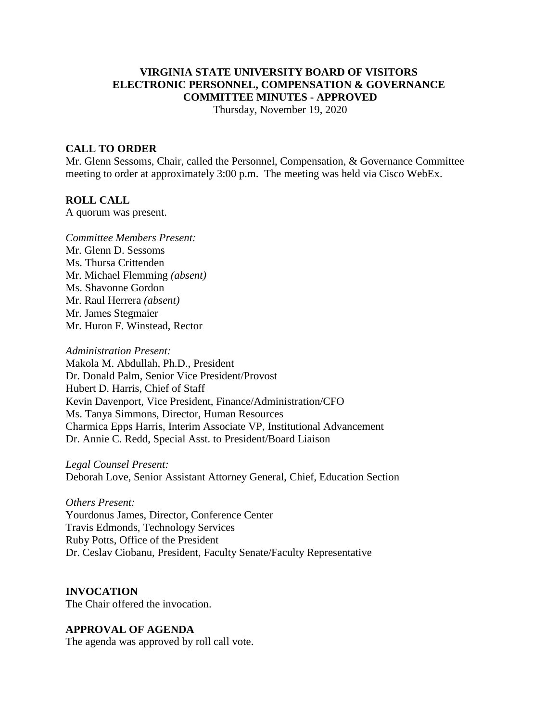# **VIRGINIA STATE UNIVERSITY BOARD OF VISITORS ELECTRONIC PERSONNEL, COMPENSATION & GOVERNANCE COMMITTEE MINUTES - APPROVED**

Thursday, November 19, 2020

#### **CALL TO ORDER**

Mr. Glenn Sessoms, Chair, called the Personnel, Compensation, & Governance Committee meeting to order at approximately 3:00 p.m. The meeting was held via Cisco WebEx.

#### **ROLL CALL**

A quorum was present.

*Committee Members Present:* Mr. Glenn D. Sessoms Ms. Thursa Crittenden Mr. Michael Flemming *(absent)* Ms. Shavonne Gordon Mr. Raul Herrera *(absent)* Mr. James Stegmaier Mr. Huron F. Winstead, Rector

*Administration Present:* Makola M. Abdullah, Ph.D., President Dr. Donald Palm, Senior Vice President/Provost Hubert D. Harris, Chief of Staff Kevin Davenport, Vice President, Finance/Administration/CFO Ms. Tanya Simmons, Director, Human Resources Charmica Epps Harris, Interim Associate VP, Institutional Advancement Dr. Annie C. Redd, Special Asst. to President/Board Liaison

*Legal Counsel Present:* Deborah Love, Senior Assistant Attorney General, Chief, Education Section

*Others Present:* Yourdonus James, Director, Conference Center Travis Edmonds, Technology Services Ruby Potts, Office of the President Dr. Ceslav Ciobanu, President, Faculty Senate/Faculty Representative

**INVOCATION** The Chair offered the invocation.

### **APPROVAL OF AGENDA**

The agenda was approved by roll call vote.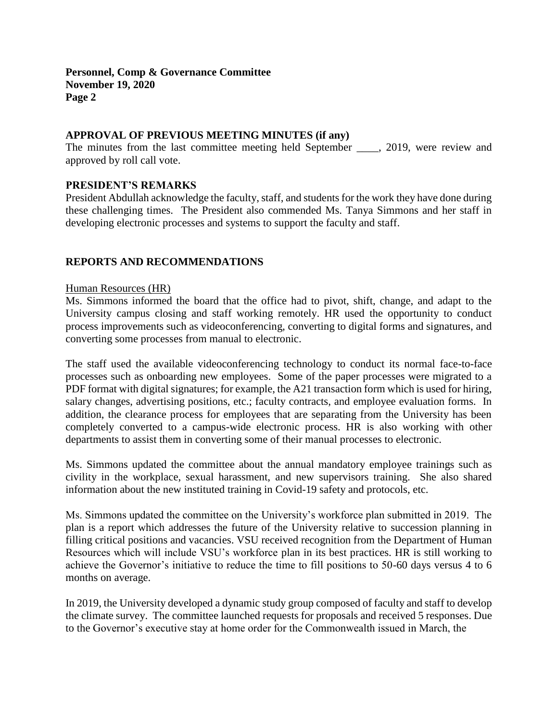**Personnel, Comp & Governance Committee November 19, 2020 Page 2**

# **APPROVAL OF PREVIOUS MEETING MINUTES (if any)**

The minutes from the last committee meeting held September \_\_\_\_, 2019, were review and approved by roll call vote.

### **PRESIDENT'S REMARKS**

President Abdullah acknowledge the faculty, staff, and students for the work they have done during these challenging times. The President also commended Ms. Tanya Simmons and her staff in developing electronic processes and systems to support the faculty and staff.

# **REPORTS AND RECOMMENDATIONS**

### Human Resources (HR)

Ms. Simmons informed the board that the office had to pivot, shift, change, and adapt to the University campus closing and staff working remotely. HR used the opportunity to conduct process improvements such as videoconferencing, converting to digital forms and signatures, and converting some processes from manual to electronic.

The staff used the available videoconferencing technology to conduct its normal face-to-face processes such as onboarding new employees. Some of the paper processes were migrated to a PDF format with digital signatures; for example, the A21 transaction form which is used for hiring, salary changes, advertising positions, etc.; faculty contracts, and employee evaluation forms. In addition, the clearance process for employees that are separating from the University has been completely converted to a campus-wide electronic process. HR is also working with other departments to assist them in converting some of their manual processes to electronic.

Ms. Simmons updated the committee about the annual mandatory employee trainings such as civility in the workplace, sexual harassment, and new supervisors training. She also shared information about the new instituted training in Covid-19 safety and protocols, etc.

Ms. Simmons updated the committee on the University's workforce plan submitted in 2019. The plan is a report which addresses the future of the University relative to succession planning in filling critical positions and vacancies. VSU received recognition from the Department of Human Resources which will include VSU's workforce plan in its best practices. HR is still working to achieve the Governor's initiative to reduce the time to fill positions to 50-60 days versus 4 to 6 months on average.

In 2019, the University developed a dynamic study group composed of faculty and staff to develop the climate survey. The committee launched requests for proposals and received 5 responses. Due to the Governor's executive stay at home order for the Commonwealth issued in March, the